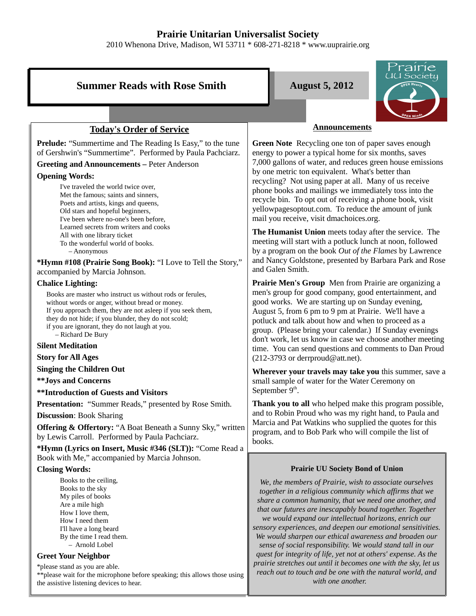## **Prairie Unitarian Universalist Society**

2010 Whenona Drive, Madison, WI 53711 \* 608-271-8218 \* www.uuprairie.org